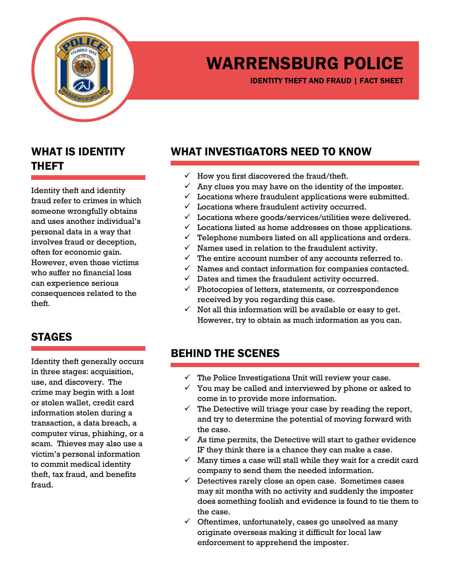

# WARRENSBURG POLICE

IDENTITY THEFT AND FRAUD | FACT SHEET

#### WHAT IS IDENTITY THEFT

Identity theft and identity fraud refer to crimes in which someone wrongfully obtains and uses another individual's personal data in a way that involves fraud or deception, often for economic gain. However, even those victims who suffer no financial loss can experience serious consequences related to the theft.

#### WHAT INVESTIGATORS NEED TO KNOW

- How you first discovered the fraud/theft.
- Any clues you may have on the identity of the imposter.
- $\checkmark$  Locations where fraudulent applications were submitted.
- $\checkmark$  Locations where fraudulent activity occurred.
- $\checkmark$  Locations where goods/services/utilities were delivered.
- $\checkmark$  Locations listed as home addresses on those applications.
- $\checkmark$  Telephone numbers listed on all applications and orders.
- $\checkmark$  Names used in relation to the fraudulent activity.
- $\checkmark$  The entire account number of any accounts referred to.
- $\checkmark$  Names and contact information for companies contacted.
- $\checkmark$  Dates and times the fraudulent activity occurred.
- $\checkmark$  Photocopies of letters, statements, or correspondence received by you regarding this case.
- $\checkmark$  Not all this information will be available or easy to get. However, try to obtain as much information as you can.

### STAGES

Identity theft generally occurs in three stages: acquisition, use, and discovery. The crime may begin with a lost or stolen wallet, credit card information stolen during a transaction, a data breach, a computer virus, phishing, or a scam. Thieves may also use a victim's personal information to commit medical identity theft, tax fraud, and benefits fraud.

#### BEHIND THE SCENES

- $\checkmark$  The Police Investigations Unit will review your case.
- $\checkmark$  You may be called and interviewed by phone or asked to come in to provide more information.
- $\checkmark$  The Detective will triage your case by reading the report, and try to determine the potential of moving forward with the case.
- $\checkmark$  As time permits, the Detective will start to gather evidence IF they think there is a chance they can make a case.
- $\checkmark$  Many times a case will stall while they wait for a credit card company to send them the needed information.
- $\checkmark$  Detectives rarely close an open case. Sometimes cases may sit months with no activity and suddenly the imposter does something foolish and evidence is found to tie them to the case.
- $\checkmark$  Oftentimes, unfortunately, cases go unsolved as many originate overseas making it difficult for local law enforcement to apprehend the imposter.